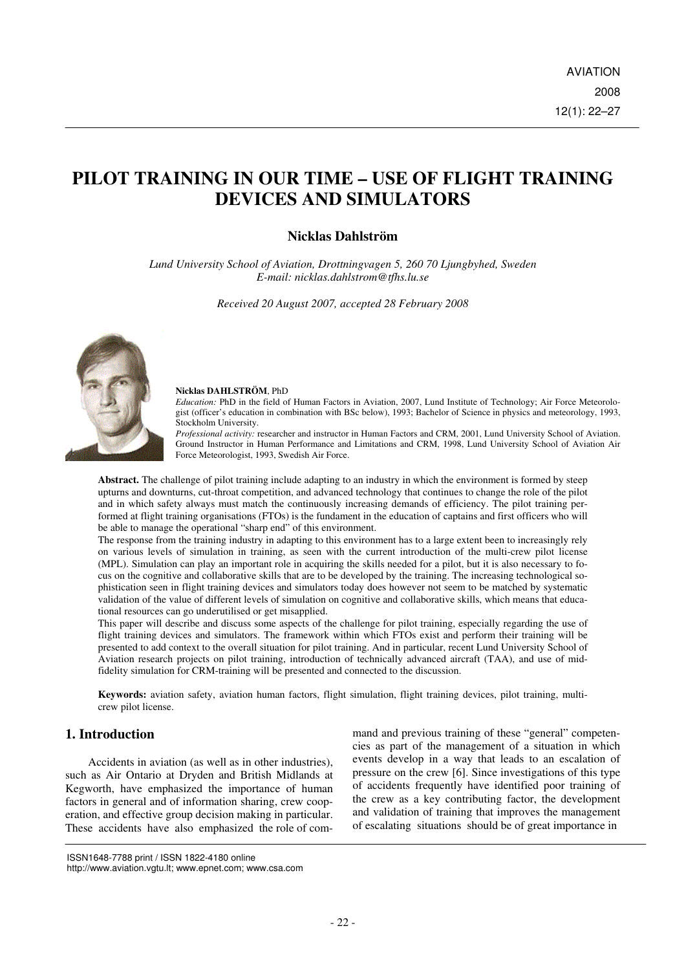# **PILOT TRAINING IN OUR TIME – USE OF FLIGHT TRAINING DEVICES AND SIMULATORS**

#### **Nicklas Dahlström**

*Lund University School of Aviation, Drottningvagen 5, 260 70 Ljungbyhed, Sweden E-mail: nicklas.dahlstrom@tfhs.lu.se* 

*Received 20 August 2007, accepted 28 February 2008* 



#### **Nicklas DAHLSTRÖM**, PhD

*Education:* PhD in the field of Human Factors in Aviation, 2007, Lund Institute of Technology; Air Force Meteorologist (officer's education in combination with BSc below), 1993; Bachelor of Science in physics and meteorology, 1993, Stockholm University.

*Professional activity:* researcher and instructor in Human Factors and CRM, 2001, Lund University School of Aviation. Ground Instructor in Human Performance and Limitations and CRM, 1998, Lund University School of Aviation Air Force Meteorologist, 1993, Swedish Air Force.

**Abstract.** The challenge of pilot training include adapting to an industry in which the environment is formed by steep upturns and downturns, cut-throat competition, and advanced technology that continues to change the role of the pilot and in which safety always must match the continuously increasing demands of efficiency. The pilot training performed at flight training organisations (FTOs) is the fundament in the education of captains and first officers who will be able to manage the operational "sharp end" of this environment.

The response from the training industry in adapting to this environment has to a large extent been to increasingly rely on various levels of simulation in training, as seen with the current introduction of the multi-crew pilot license (MPL). Simulation can play an important role in acquiring the skills needed for a pilot, but it is also necessary to focus on the cognitive and collaborative skills that are to be developed by the training. The increasing technological sophistication seen in flight training devices and simulators today does however not seem to be matched by systematic validation of the value of different levels of simulation on cognitive and collaborative skills, which means that educational resources can go underutilised or get misapplied.

This paper will describe and discuss some aspects of the challenge for pilot training, especially regarding the use of flight training devices and simulators. The framework within which FTOs exist and perform their training will be presented to add context to the overall situation for pilot training. And in particular, recent Lund University School of Aviation research projects on pilot training, introduction of technically advanced aircraft (TAA), and use of midfidelity simulation for CRM-training will be presented and connected to the discussion.

**Keywords:** aviation safety, aviation human factors, flight simulation, flight training devices, pilot training, multicrew pilot license.

#### **1. Introduction**

Accidents in aviation (as well as in other industries), such as Air Ontario at Dryden and British Midlands at Kegworth, have emphasized the importance of human factors in general and of information sharing, crew cooperation, and effective group decision making in particular. These accidents have also emphasized the role of command and previous training of these "general" competencies as part of the management of a situation in which events develop in a way that leads to an escalation of pressure on the crew [6]. Since investigations of this type of accidents frequently have identified poor training of the crew as a key contributing factor, the development and validation of training that improves the management of escalating situations should be of great importance in

ISSN1648-7788 print / ISSN 1822-4180 online

http://www.aviation.vgtu.lt; www.epnet.com; www.csa.com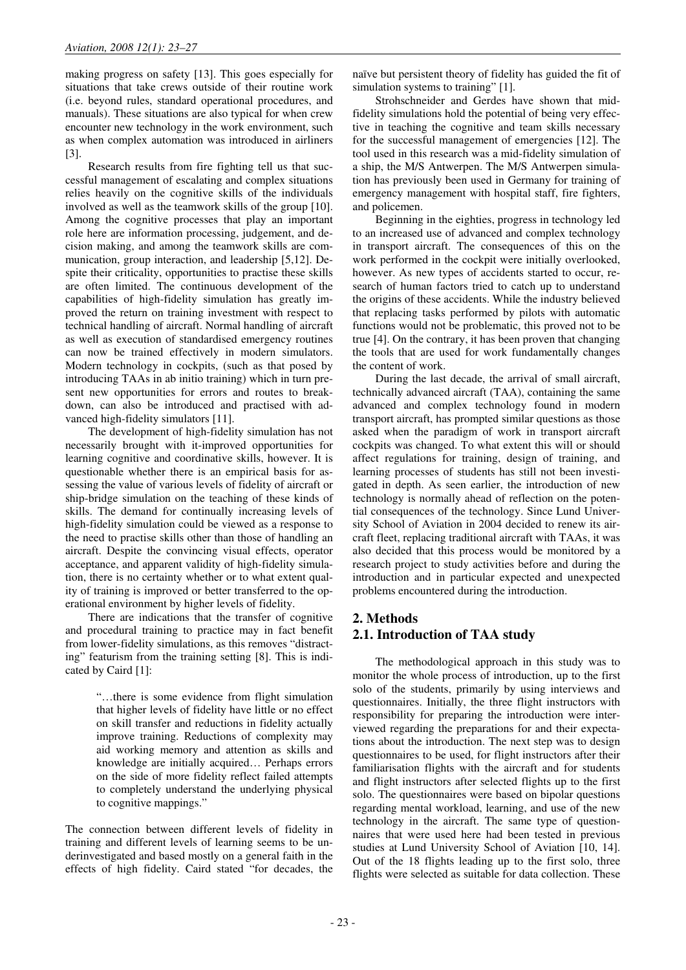making progress on safety [13]. This goes especially for situations that take crews outside of their routine work (i.e. beyond rules, standard operational procedures, and manuals). These situations are also typical for when crew encounter new technology in the work environment, such as when complex automation was introduced in airliners [3].

Research results from fire fighting tell us that successful management of escalating and complex situations relies heavily on the cognitive skills of the individuals involved as well as the teamwork skills of the group [10]. Among the cognitive processes that play an important role here are information processing, judgement, and decision making, and among the teamwork skills are communication, group interaction, and leadership [5,12]. Despite their criticality, opportunities to practise these skills are often limited. The continuous development of the capabilities of high-fidelity simulation has greatly improved the return on training investment with respect to technical handling of aircraft. Normal handling of aircraft as well as execution of standardised emergency routines can now be trained effectively in modern simulators. Modern technology in cockpits, (such as that posed by introducing TAAs in ab initio training) which in turn present new opportunities for errors and routes to breakdown, can also be introduced and practised with advanced high-fidelity simulators [11].

The development of high-fidelity simulation has not necessarily brought with it-improved opportunities for learning cognitive and coordinative skills, however. It is questionable whether there is an empirical basis for assessing the value of various levels of fidelity of aircraft or ship-bridge simulation on the teaching of these kinds of skills. The demand for continually increasing levels of high-fidelity simulation could be viewed as a response to the need to practise skills other than those of handling an aircraft. Despite the convincing visual effects, operator acceptance, and apparent validity of high-fidelity simulation, there is no certainty whether or to what extent quality of training is improved or better transferred to the operational environment by higher levels of fidelity.

There are indications that the transfer of cognitive and procedural training to practice may in fact benefit from lower-fidelity simulations, as this removes "distracting" featurism from the training setting [8]. This is indicated by Caird [1]:

> "…there is some evidence from flight simulation that higher levels of fidelity have little or no effect on skill transfer and reductions in fidelity actually improve training. Reductions of complexity may aid working memory and attention as skills and knowledge are initially acquired… Perhaps errors on the side of more fidelity reflect failed attempts to completely understand the underlying physical to cognitive mappings."

The connection between different levels of fidelity in training and different levels of learning seems to be underinvestigated and based mostly on a general faith in the effects of high fidelity. Caird stated "for decades, the

naïve but persistent theory of fidelity has guided the fit of simulation systems to training" [1].

Strohschneider and Gerdes have shown that midfidelity simulations hold the potential of being very effective in teaching the cognitive and team skills necessary for the successful management of emergencies [12]. The tool used in this research was a mid-fidelity simulation of a ship, the M/S Antwerpen. The M/S Antwerpen simulation has previously been used in Germany for training of emergency management with hospital staff, fire fighters, and policemen.

Beginning in the eighties, progress in technology led to an increased use of advanced and complex technology in transport aircraft. The consequences of this on the work performed in the cockpit were initially overlooked, however. As new types of accidents started to occur, research of human factors tried to catch up to understand the origins of these accidents. While the industry believed that replacing tasks performed by pilots with automatic functions would not be problematic, this proved not to be true [4]. On the contrary, it has been proven that changing the tools that are used for work fundamentally changes the content of work.

During the last decade, the arrival of small aircraft, technically advanced aircraft (TAA), containing the same advanced and complex technology found in modern transport aircraft, has prompted similar questions as those asked when the paradigm of work in transport aircraft cockpits was changed. To what extent this will or should affect regulations for training, design of training, and learning processes of students has still not been investigated in depth. As seen earlier, the introduction of new technology is normally ahead of reflection on the potential consequences of the technology. Since Lund University School of Aviation in 2004 decided to renew its aircraft fleet, replacing traditional aircraft with TAAs, it was also decided that this process would be monitored by a research project to study activities before and during the introduction and in particular expected and unexpected problems encountered during the introduction.

## **2. Methods 2.1. Introduction of TAA study**

The methodological approach in this study was to monitor the whole process of introduction, up to the first solo of the students, primarily by using interviews and questionnaires. Initially, the three flight instructors with responsibility for preparing the introduction were interviewed regarding the preparations for and their expectations about the introduction. The next step was to design questionnaires to be used, for flight instructors after their familiarisation flights with the aircraft and for students and flight instructors after selected flights up to the first solo. The questionnaires were based on bipolar questions regarding mental workload, learning, and use of the new technology in the aircraft. The same type of questionnaires that were used here had been tested in previous studies at Lund University School of Aviation [10, 14]. Out of the 18 flights leading up to the first solo, three flights were selected as suitable for data collection. These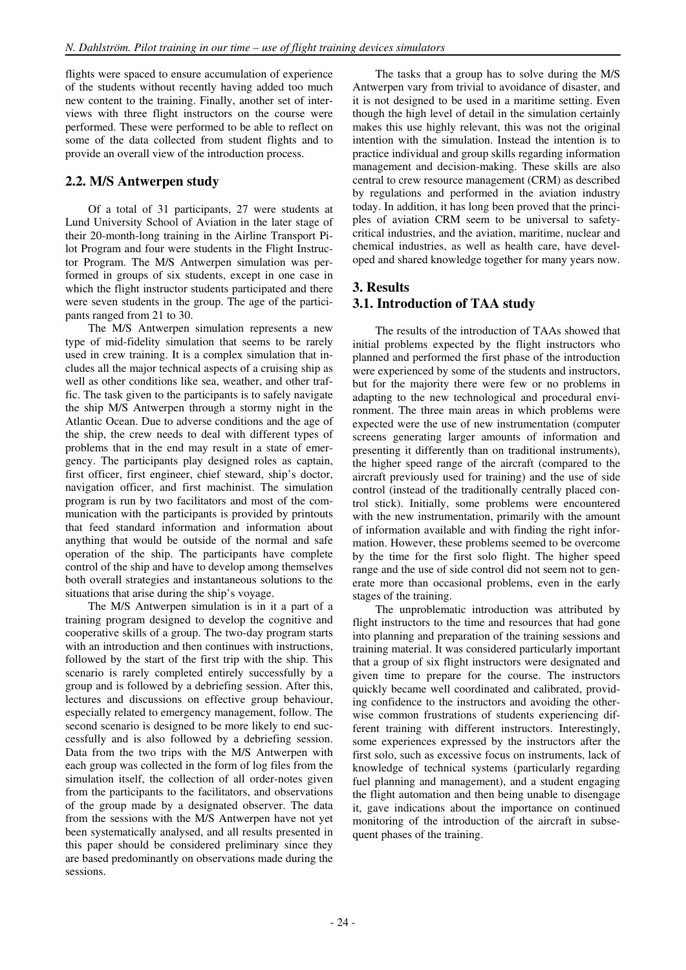flights were spaced to ensure accumulation of experience of the students without recently having added too much new content to the training. Finally, another set of interviews with three flight instructors on the course were performed. These were performed to be able to reflect on some of the data collected from student flights and to provide an overall view of the introduction process.

### **2.2. M/S Antwerpen study**

Of a total of 31 participants, 27 were students at Lund University School of Aviation in the later stage of their 20-month-long training in the Airline Transport Pilot Program and four were students in the Flight Instructor Program. The M/S Antwerpen simulation was performed in groups of six students, except in one case in which the flight instructor students participated and there were seven students in the group. The age of the participants ranged from 21 to 30.

The M/S Antwerpen simulation represents a new type of mid-fidelity simulation that seems to be rarely used in crew training. It is a complex simulation that includes all the major technical aspects of a cruising ship as well as other conditions like sea, weather, and other traffic. The task given to the participants is to safely navigate the ship M/S Antwerpen through a stormy night in the Atlantic Ocean. Due to adverse conditions and the age of the ship, the crew needs to deal with different types of problems that in the end may result in a state of emergency. The participants play designed roles as captain, first officer, first engineer, chief steward, ship's doctor, navigation officer, and first machinist. The simulation program is run by two facilitators and most of the communication with the participants is provided by printouts that feed standard information and information about anything that would be outside of the normal and safe operation of the ship. The participants have complete control of the ship and have to develop among themselves both overall strategies and instantaneous solutions to the situations that arise during the ship's voyage.

The M/S Antwerpen simulation is in it a part of a training program designed to develop the cognitive and cooperative skills of a group. The two-day program starts with an introduction and then continues with instructions, followed by the start of the first trip with the ship. This scenario is rarely completed entirely successfully by a group and is followed by a debriefing session. After this, lectures and discussions on effective group behaviour, especially related to emergency management, follow. The second scenario is designed to be more likely to end successfully and is also followed by a debriefing session. Data from the two trips with the M/S Antwerpen with each group was collected in the form of log files from the simulation itself, the collection of all order-notes given from the participants to the facilitators, and observations of the group made by a designated observer. The data from the sessions with the M/S Antwerpen have not yet been systematically analysed, and all results presented in this paper should be considered preliminary since they are based predominantly on observations made during the sessions.

The tasks that a group has to solve during the M/S Antwerpen vary from trivial to avoidance of disaster, and it is not designed to be used in a maritime setting. Even though the high level of detail in the simulation certainly makes this use highly relevant, this was not the original intention with the simulation. Instead the intention is to practice individual and group skills regarding information management and decision-making. These skills are also central to crew resource management (CRM) as described by regulations and performed in the aviation industry today. In addition, it has long been proved that the principles of aviation CRM seem to be universal to safetycritical industries, and the aviation, maritime, nuclear and chemical industries, as well as health care, have developed and shared knowledge together for many years now.

#### **3. Results**

#### **3.1. Introduction of TAA study**

The results of the introduction of TAAs showed that initial problems expected by the flight instructors who planned and performed the first phase of the introduction were experienced by some of the students and instructors, but for the majority there were few or no problems in adapting to the new technological and procedural environment. The three main areas in which problems were expected were the use of new instrumentation (computer screens generating larger amounts of information and presenting it differently than on traditional instruments), the higher speed range of the aircraft (compared to the aircraft previously used for training) and the use of side control (instead of the traditionally centrally placed control stick). Initially, some problems were encountered with the new instrumentation, primarily with the amount of information available and with finding the right information. However, these problems seemed to be overcome by the time for the first solo flight. The higher speed range and the use of side control did not seem not to generate more than occasional problems, even in the early stages of the training.

The unproblematic introduction was attributed by flight instructors to the time and resources that had gone into planning and preparation of the training sessions and training material. It was considered particularly important that a group of six flight instructors were designated and given time to prepare for the course. The instructors quickly became well coordinated and calibrated, providing confidence to the instructors and avoiding the otherwise common frustrations of students experiencing different training with different instructors. Interestingly, some experiences expressed by the instructors after the first solo, such as excessive focus on instruments, lack of knowledge of technical systems (particularly regarding fuel planning and management), and a student engaging the flight automation and then being unable to disengage it, gave indications about the importance on continued monitoring of the introduction of the aircraft in subsequent phases of the training.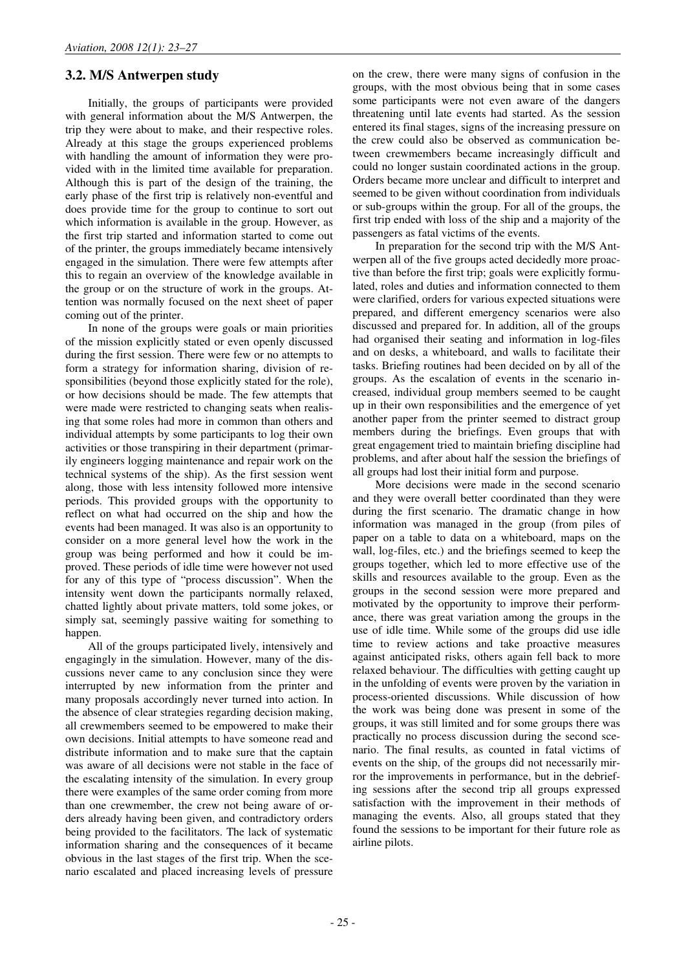### **3.2. M/S Antwerpen study**

Initially, the groups of participants were provided with general information about the M/S Antwerpen, the trip they were about to make, and their respective roles. Already at this stage the groups experienced problems with handling the amount of information they were provided with in the limited time available for preparation. Although this is part of the design of the training, the early phase of the first trip is relatively non-eventful and does provide time for the group to continue to sort out which information is available in the group. However, as the first trip started and information started to come out of the printer, the groups immediately became intensively engaged in the simulation. There were few attempts after this to regain an overview of the knowledge available in the group or on the structure of work in the groups. Attention was normally focused on the next sheet of paper coming out of the printer.

In none of the groups were goals or main priorities of the mission explicitly stated or even openly discussed during the first session. There were few or no attempts to form a strategy for information sharing, division of responsibilities (beyond those explicitly stated for the role), or how decisions should be made. The few attempts that were made were restricted to changing seats when realising that some roles had more in common than others and individual attempts by some participants to log their own activities or those transpiring in their department (primarily engineers logging maintenance and repair work on the technical systems of the ship). As the first session went along, those with less intensity followed more intensive periods. This provided groups with the opportunity to reflect on what had occurred on the ship and how the events had been managed. It was also is an opportunity to consider on a more general level how the work in the group was being performed and how it could be improved. These periods of idle time were however not used for any of this type of "process discussion". When the intensity went down the participants normally relaxed, chatted lightly about private matters, told some jokes, or simply sat, seemingly passive waiting for something to happen.

All of the groups participated lively, intensively and engagingly in the simulation. However, many of the discussions never came to any conclusion since they were interrupted by new information from the printer and many proposals accordingly never turned into action. In the absence of clear strategies regarding decision making, all crewmembers seemed to be empowered to make their own decisions. Initial attempts to have someone read and distribute information and to make sure that the captain was aware of all decisions were not stable in the face of the escalating intensity of the simulation. In every group there were examples of the same order coming from more than one crewmember, the crew not being aware of orders already having been given, and contradictory orders being provided to the facilitators. The lack of systematic information sharing and the consequences of it became obvious in the last stages of the first trip. When the scenario escalated and placed increasing levels of pressure

on the crew, there were many signs of confusion in the groups, with the most obvious being that in some cases some participants were not even aware of the dangers threatening until late events had started. As the session entered its final stages, signs of the increasing pressure on the crew could also be observed as communication between crewmembers became increasingly difficult and could no longer sustain coordinated actions in the group. Orders became more unclear and difficult to interpret and seemed to be given without coordination from individuals or sub-groups within the group. For all of the groups, the first trip ended with loss of the ship and a majority of the passengers as fatal victims of the events.

In preparation for the second trip with the M/S Antwerpen all of the five groups acted decidedly more proactive than before the first trip; goals were explicitly formulated, roles and duties and information connected to them were clarified, orders for various expected situations were prepared, and different emergency scenarios were also discussed and prepared for. In addition, all of the groups had organised their seating and information in log-files and on desks, a whiteboard, and walls to facilitate their tasks. Briefing routines had been decided on by all of the groups. As the escalation of events in the scenario increased, individual group members seemed to be caught up in their own responsibilities and the emergence of yet another paper from the printer seemed to distract group members during the briefings. Even groups that with great engagement tried to maintain briefing discipline had problems, and after about half the session the briefings of all groups had lost their initial form and purpose.

More decisions were made in the second scenario and they were overall better coordinated than they were during the first scenario. The dramatic change in how information was managed in the group (from piles of paper on a table to data on a whiteboard, maps on the wall, log-files, etc.) and the briefings seemed to keep the groups together, which led to more effective use of the skills and resources available to the group. Even as the groups in the second session were more prepared and motivated by the opportunity to improve their performance, there was great variation among the groups in the use of idle time. While some of the groups did use idle time to review actions and take proactive measures against anticipated risks, others again fell back to more relaxed behaviour. The difficulties with getting caught up in the unfolding of events were proven by the variation in process-oriented discussions. While discussion of how the work was being done was present in some of the groups, it was still limited and for some groups there was practically no process discussion during the second scenario. The final results, as counted in fatal victims of events on the ship, of the groups did not necessarily mirror the improvements in performance, but in the debriefing sessions after the second trip all groups expressed satisfaction with the improvement in their methods of managing the events. Also, all groups stated that they found the sessions to be important for their future role as airline pilots.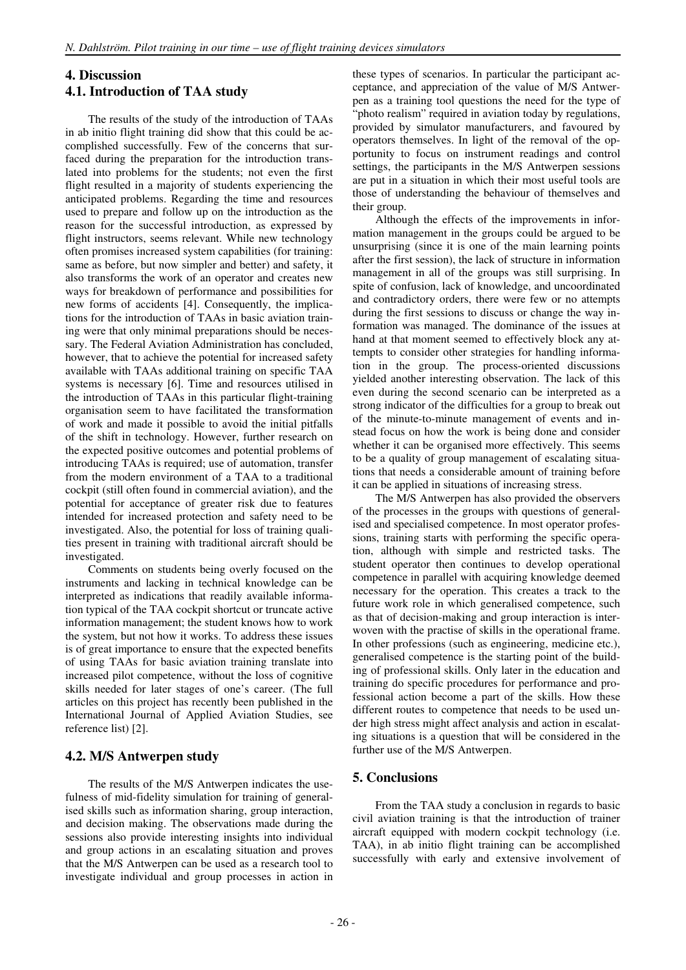### **4. Discussion 4.1. Introduction of TAA study**

The results of the study of the introduction of TAAs in ab initio flight training did show that this could be accomplished successfully. Few of the concerns that surfaced during the preparation for the introduction translated into problems for the students; not even the first flight resulted in a majority of students experiencing the anticipated problems. Regarding the time and resources used to prepare and follow up on the introduction as the reason for the successful introduction, as expressed by flight instructors, seems relevant. While new technology often promises increased system capabilities (for training: same as before, but now simpler and better) and safety, it also transforms the work of an operator and creates new ways for breakdown of performance and possibilities for new forms of accidents [4]. Consequently, the implications for the introduction of TAAs in basic aviation training were that only minimal preparations should be necessary. The Federal Aviation Administration has concluded, however, that to achieve the potential for increased safety available with TAAs additional training on specific TAA systems is necessary [6]. Time and resources utilised in the introduction of TAAs in this particular flight-training organisation seem to have facilitated the transformation of work and made it possible to avoid the initial pitfalls of the shift in technology. However, further research on the expected positive outcomes and potential problems of introducing TAAs is required; use of automation, transfer from the modern environment of a TAA to a traditional cockpit (still often found in commercial aviation), and the potential for acceptance of greater risk due to features intended for increased protection and safety need to be investigated. Also, the potential for loss of training qualities present in training with traditional aircraft should be investigated.

Comments on students being overly focused on the instruments and lacking in technical knowledge can be interpreted as indications that readily available information typical of the TAA cockpit shortcut or truncate active information management; the student knows how to work the system, but not how it works. To address these issues is of great importance to ensure that the expected benefits of using TAAs for basic aviation training translate into increased pilot competence, without the loss of cognitive skills needed for later stages of one's career. (The full articles on this project has recently been published in the International Journal of Applied Aviation Studies, see reference list) [2].

### **4.2. M/S Antwerpen study**

The results of the M/S Antwerpen indicates the usefulness of mid-fidelity simulation for training of generalised skills such as information sharing, group interaction, and decision making. The observations made during the sessions also provide interesting insights into individual and group actions in an escalating situation and proves that the M/S Antwerpen can be used as a research tool to investigate individual and group processes in action in

these types of scenarios. In particular the participant acceptance, and appreciation of the value of M/S Antwerpen as a training tool questions the need for the type of "photo realism" required in aviation today by regulations, provided by simulator manufacturers, and favoured by operators themselves. In light of the removal of the opportunity to focus on instrument readings and control settings, the participants in the M/S Antwerpen sessions are put in a situation in which their most useful tools are those of understanding the behaviour of themselves and their group.

Although the effects of the improvements in information management in the groups could be argued to be unsurprising (since it is one of the main learning points after the first session), the lack of structure in information management in all of the groups was still surprising. In spite of confusion, lack of knowledge, and uncoordinated and contradictory orders, there were few or no attempts during the first sessions to discuss or change the way information was managed. The dominance of the issues at hand at that moment seemed to effectively block any attempts to consider other strategies for handling information in the group. The process-oriented discussions yielded another interesting observation. The lack of this even during the second scenario can be interpreted as a strong indicator of the difficulties for a group to break out of the minute-to-minute management of events and instead focus on how the work is being done and consider whether it can be organised more effectively. This seems to be a quality of group management of escalating situations that needs a considerable amount of training before it can be applied in situations of increasing stress.

The M/S Antwerpen has also provided the observers of the processes in the groups with questions of generalised and specialised competence. In most operator professions, training starts with performing the specific operation, although with simple and restricted tasks. The student operator then continues to develop operational competence in parallel with acquiring knowledge deemed necessary for the operation. This creates a track to the future work role in which generalised competence, such as that of decision-making and group interaction is interwoven with the practise of skills in the operational frame. In other professions (such as engineering, medicine etc.), generalised competence is the starting point of the building of professional skills. Only later in the education and training do specific procedures for performance and professional action become a part of the skills. How these different routes to competence that needs to be used under high stress might affect analysis and action in escalating situations is a question that will be considered in the further use of the M/S Antwerpen.

### **5. Conclusions**

From the TAA study a conclusion in regards to basic civil aviation training is that the introduction of trainer aircraft equipped with modern cockpit technology (i.e. TAA), in ab initio flight training can be accomplished successfully with early and extensive involvement of